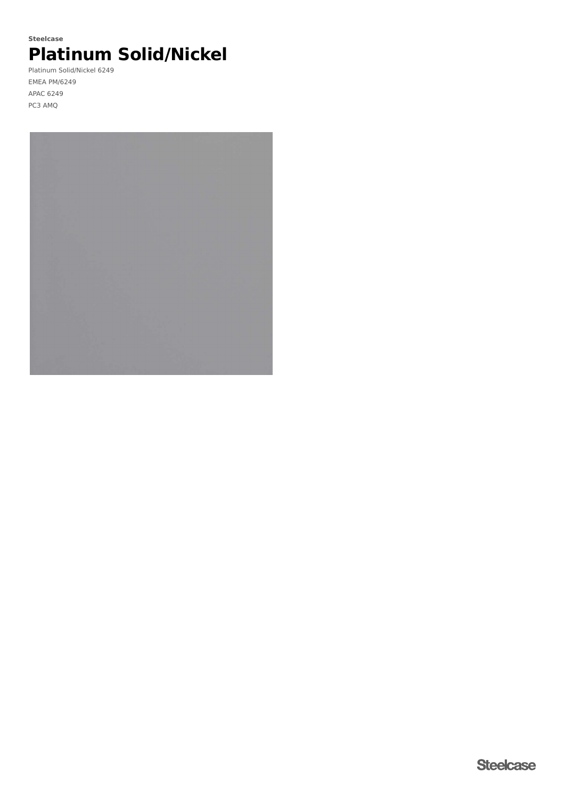# **Platinum Solid/Nickel Steelcase**

Platinum Solid/Nickel 6249 EMEA PM/6249 APAC 6249 PC3 AMQ

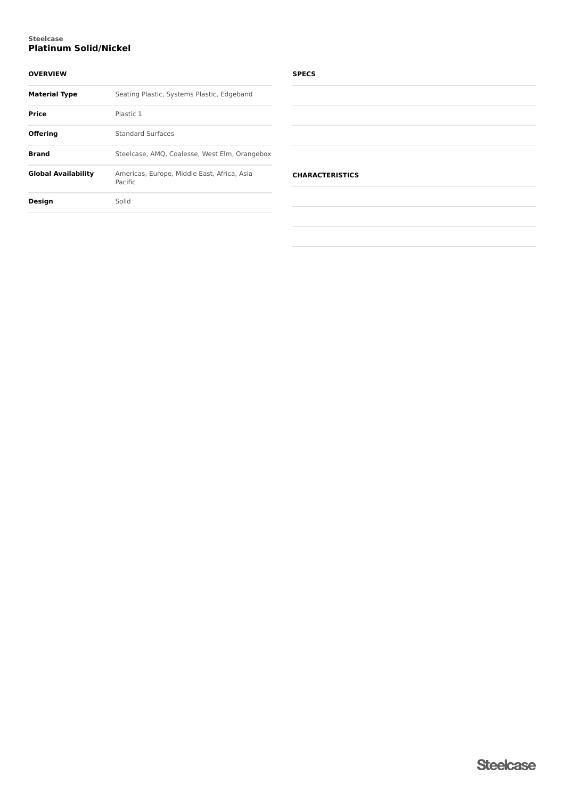## **Platinum Solid/Nickel Steelcase**

## **OVERVIEW**

| <b>Material Type</b>       | Seating Plastic, Systems Plastic, Edgeband             |
|----------------------------|--------------------------------------------------------|
| <b>Price</b>               | Plastic 1                                              |
| <b>Offering</b>            | <b>Standard Surfaces</b>                               |
| Brand                      | Steelcase, AMQ, Coalesse, West Elm, Orangebox          |
| <b>Global Availability</b> | Americas, Europe, Middle East, Africa, Asia<br>Pacific |
| <b>Design</b>              | Solid                                                  |
|                            |                                                        |

## **SPECS**

| $\sim$<br>$\sim$<br>$\sim$<br>-<br>$\sim$<br>$\sim$ | $\sim$ |  |  |
|-----------------------------------------------------|--------|--|--|
|                                                     |        |  |  |
|                                                     |        |  |  |
|                                                     |        |  |  |
|                                                     |        |  |  |
|                                                     |        |  |  |
|                                                     |        |  |  |
|                                                     |        |  |  |
|                                                     |        |  |  |
|                                                     |        |  |  |
|                                                     |        |  |  |
|                                                     |        |  |  |
|                                                     |        |  |  |
|                                                     |        |  |  |
|                                                     |        |  |  |
|                                                     |        |  |  |
|                                                     |        |  |  |

## **CHARACTERISTICS**